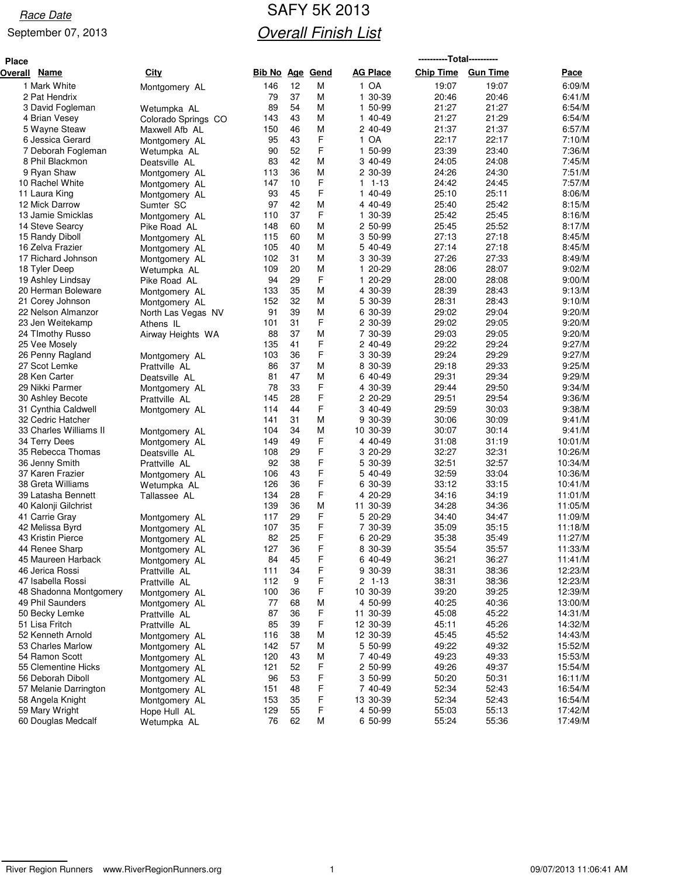#### September 07, 2013

## Race Date **SAFY 5K 2013 Overall Finish List**

| <b>Place</b> |                                            |                                |            |            |             |                    | ----------Total---------- |                 |                    |
|--------------|--------------------------------------------|--------------------------------|------------|------------|-------------|--------------------|---------------------------|-----------------|--------------------|
| Overall      | <b>Name</b>                                | <b>City</b>                    | Bib No     | <u>Age</u> | <u>Gend</u> | <b>AG Place</b>    | <b>Chip Time</b>          | <b>Gun Time</b> | Pace               |
|              | 1 Mark White                               | Montgomery AL                  | 146        | 12         | М           | 1 OA               | 19:07                     | 19:07           | 6:09/M             |
|              | 2 Pat Hendrix                              |                                | 79         | 37         | M           | 1 30-39            | 20:46                     | 20:46           | 6:41/M             |
|              | 3 David Fogleman                           | Wetumpka AL                    | 89         | 54         | M           | 1 50-99            | 21:27                     | 21:27           | 6:54/M             |
|              | 4 Brian Vesey                              | Colorado Springs CO            | 143        | 43         | M           | 1 40-49            | 21:27                     | 21:29           | 6:54/M             |
|              | 5 Wayne Steaw                              | Maxwell Afb AL                 | 150        | 46         | M           | 2 40-49            | 21:37                     | 21:37           | 6:57/M             |
|              | 6 Jessica Gerard                           | Montgomery AL                  | 95         | 43         | F           | 1 OA               | 22:17                     | 22:17           | 7:10/M             |
|              | 7 Deborah Fogleman                         | Wetumpka AL                    | 90         | 52         | F           | 50-99<br>1         | 23:39                     | 23:40           | 7:36/M             |
|              | 8 Phil Blackmon                            | Deatsville AL                  | 83         | 42         | M           | 3 40-49            | 24:05                     | 24:08           | 7:45/M             |
|              | 9 Ryan Shaw                                | Montgomery AL                  | 113        | 36         | M           | 2 30-39            | 24:26                     | 24:30           | 7:51/M             |
|              | 10 Rachel White                            | Montgomery AL                  | 147        | 10         | F           | $1 - 13$<br>1      | 24:42                     | 24:45           | 7:57/M             |
|              | 11 Laura King                              | Montgomery AL                  | 93         | 45         | F           | 1 40-49            | 25:10                     | 25:11           | 8:06/M             |
|              | 12 Mick Darrow                             | Sumter SC                      | 97         | 42         | M           | 4 40-49            | 25:40                     | 25:42           | 8:15/M             |
|              | 13 Jamie Smicklas                          | Montgomery AL                  | 110        | 37         | F           | 1 30-39            | 25:42                     | 25:45           | 8:16/M             |
|              | 14 Steve Searcy                            | Pike Road AL                   | 148        | 60         | M           | 2 50-99            | 25:45                     | 25:52           | 8:17/M             |
|              | 15 Randy Diboll                            | Montgomery AL                  | 115        | 60         | M           | 3 50-99            | 27:13                     | 27:18           | 8:45/M             |
|              | 16 Zelva Frazier                           | Montgomery AL                  | 105        | 40         | M           | 5 40-49            | 27:14                     | 27:18           | 8:45/M             |
|              | 17 Richard Johnson                         | Montgomery AL                  | 102        | 31         | M           | 3 30-39            | 27:26                     | 27:33           | 8:49/M             |
|              | 18 Tyler Deep                              | Wetumpka AL                    | 109        | 20         | M           | 1 20-29            | 28:06                     | 28:07           | 9:02/M             |
|              | 19 Ashley Lindsay                          | Pike Road AL                   | 94         | 29         | F           | 1 20-29<br>4 30-39 | 28:00                     | 28:08           | 9:00/M             |
|              | 20 Herman Boleware                         | Montgomery AL                  | 133<br>152 | 35<br>32   | M<br>M      | 5 30-39            | 28:39<br>28:31            | 28:43<br>28:43  | 9:13/M<br>9:10/M   |
|              | 21 Corey Johnson<br>22 Nelson Almanzor     | Montgomery AL                  | 91         | 39         | M           | 6 30-39            | 29:02                     | 29:04           | 9:20/M             |
|              | 23 Jen Weitekamp                           | North Las Vegas NV             | 101        | 31         | F           | 2 30-39            | 29:02                     | 29:05           | 9:20/M             |
|              | 24 TImothy Russo                           | Athens IL<br>Airway Heights WA | 88         | 37         | M           | 7 30-39            | 29:03                     | 29:05           | 9:20/M             |
|              | 25 Vee Mosely                              |                                | 135        | 41         | F           | 2 40-49            | 29:22                     | 29:24           | 9:27/M             |
|              | 26 Penny Ragland                           | Montgomery AL                  | 103        | 36         | F           | 3 30-39            | 29:24                     | 29:29           | 9:27/M             |
|              | 27 Scot Lemke                              | Prattville AL                  | 86         | 37         | M           | 8 30-39            | 29:18                     | 29:33           | 9:25/M             |
|              | 28 Ken Carter                              | Deatsville AL                  | 81         | 47         | M           | 6 40-49            | 29:31                     | 29:34           | 9:29/M             |
|              | 29 Nikki Parmer                            | Montgomery AL                  | 78         | 33         | F           | 4 30-39            | 29:44                     | 29:50           | 9:34/M             |
|              | 30 Ashley Becote                           | Prattville AL                  | 145        | 28         | F           | 2 20-29            | 29:51                     | 29:54           | 9:36/M             |
|              | 31 Cynthia Caldwell                        | Montgomery AL                  | 114        | 44         | F           | 3 40-49            | 29:59                     | 30:03           | 9:38/M             |
|              | 32 Cedric Hatcher                          |                                | 141        | 31         | M           | 9 30-39            | 30:06                     | 30:09           | 9:41/M             |
|              | 33 Charles Williams II                     | Montgomery AL                  | 104        | 34         | M           | 10 30-39           | 30:07                     | 30:14           | 9:41/M             |
|              | 34 Terry Dees                              | Montgomery AL                  | 149        | 49         | F           | 4 40-49            | 31:08                     | 31:19           | 10:01/M            |
|              | 35 Rebecca Thomas                          | Deatsville AL                  | 108        | 29         | F           | 3 20-29            | 32:27                     | 32:31           | 10:26/M            |
|              | 36 Jenny Smith                             | Prattville AL                  | 92         | 38         | F           | 5 30-39            | 32:51                     | 32:57           | 10:34/M            |
|              | 37 Karen Frazier                           | Montgomery AL                  | 106        | 43         | F           | 5 40-49            | 32:59                     | 33:04           | 10:36/M            |
|              | 38 Greta Williams                          | Wetumpka AL                    | 126        | 36         | F           | 6 30-39            | 33:12                     | 33:15           | 10:41/M            |
|              | 39 Latasha Bennett                         | Tallassee AL                   | 134        | 28         | F           | 4 20-29            | 34:16                     | 34:19           | 11:01/M            |
|              | 40 Kalonji Gilchrist                       |                                | 139        | 36         | M           | 11 30-39           | 34:28                     | 34:36           | 11:05/M            |
|              | 41 Carrie Gray                             | Montgomery AL                  | 117        | 29         | F           | 5 20-29            | 34:40                     | 34:47           | 11:09/M            |
|              | 42 Melissa Byrd                            | Montgomery AL                  | 107        | 35         | F           | 7 30-39            | 35:09                     | 35:15           | 11:18/M            |
|              | 43 Kristin Pierce                          | Montgomery AL                  | 82         | 25         | F           | 6 20-29            | 35:38                     | 35:49           | 11:27/M            |
|              | 44 Renee Sharp                             | Montgomery AL                  | 127        | 36         | F           | 8 30-39            | 35:54                     | 35:57           | 11:33/M            |
|              | 45 Maureen Harback                         | Montgomery AL                  | 84         | 45         | F           | 6 40-49            | 36:21                     | 36:27           | 11:41/M            |
|              | 46 Jerica Rossi                            | Prattville AL                  | 111        | 34         | F           | 9 30-39            | 38:31                     | 38:36           | 12:23/M            |
|              | 47 Isabella Rossi                          | Prattville AL                  | 112        | 9          | F           | $2 1 - 13$         | 38:31                     | 38:36           | 12:23/M            |
|              | 48 Shadonna Montgomery                     | Montgomery AL                  | 100        | 36         | F           | 10 30-39           | 39:20                     | 39:25           | 12:39/M            |
|              | 49 Phil Saunders                           | Montgomery AL                  | 77         | 68         | M           | 4 50-99            | 40:25                     | 40:36           | 13:00/M            |
|              | 50 Becky Lemke                             | Prattville AL                  | 87         | 36         | F           | 11 30-39           | 45:08                     | 45:22           | 14:31/M            |
|              | 51 Lisa Fritch                             | Prattville AL                  | 85         | 39         | F           | 12 30-39           | 45:11                     | 45:26           | 14:32/M            |
|              | 52 Kenneth Arnold                          | Montgomery AL                  | 116        | 38         | M           | 12 30-39           | 45:45                     | 45:52           | 14:43/M            |
|              | 53 Charles Marlow                          | Montgomery AL                  | 142        | 57         | M           | 5 50-99            | 49:22                     | 49:32           | 15:52/M            |
|              | 54 Ramon Scott                             | Montgomery AL                  | 120        | 43         | M           | 7 40-49            | 49:23                     | 49:33           | 15:53/M            |
|              | 55 Clementine Hicks                        | Montgomery AL                  | 121        | 52         | F<br>F      | 2 50-99            | 49:26                     | 49:37           | 15:54/M            |
|              | 56 Deborah Diboll<br>57 Melanie Darrington | Montgomery AL                  | 96<br>151  | 53<br>48   | F           | 3 50-99<br>7 40-49 | 50:20<br>52:34            | 50:31<br>52:43  | 16:11/M<br>16:54/M |
|              | 58 Angela Knight                           | Montgomery AL                  | 153        | 35         | F           | 13 30-39           | 52:34                     | 52:43           | 16:54/M            |
|              | 59 Mary Wright                             | Montgomery AL<br>Hope Hull AL  | 129        | 55         | F           | 4 50-99            | 55:03                     | 55:13           | 17:42/M            |
|              | 60 Douglas Medcalf                         | Wetumpka AL                    | 76         | 62         | М           | 6 50-99            | 55:24                     | 55:36           | 17:49/M            |
|              |                                            |                                |            |            |             |                    |                           |                 |                    |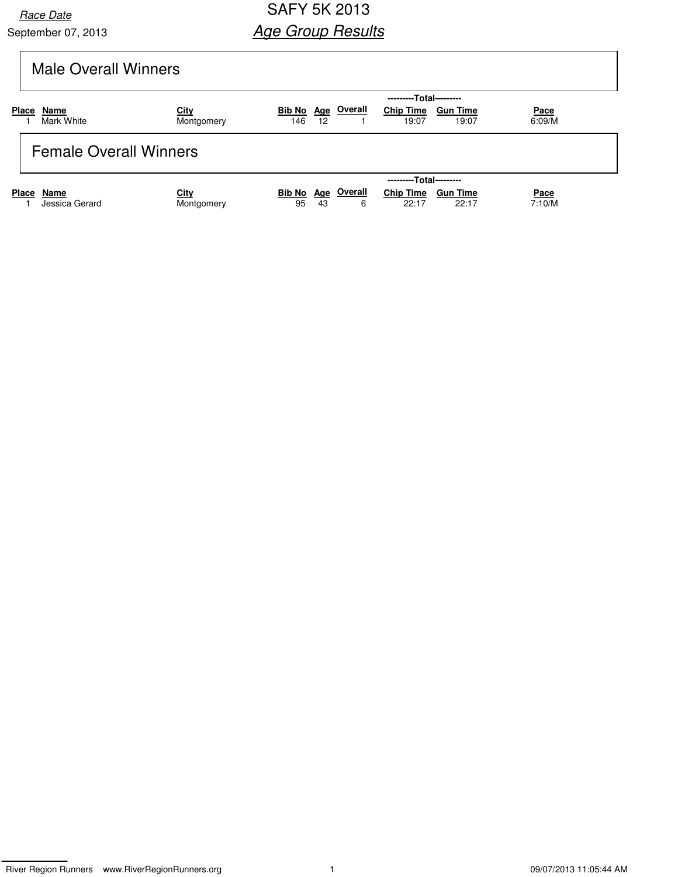September 07, 2013

### Race Date **SAFY 5K 2013 Age Group Results**

# Male Overall Winners

|                               |                    | ---------Total---------   |               |                         |             |                           |                          |                |  |  |  |
|-------------------------------|--------------------|---------------------------|---------------|-------------------------|-------------|---------------------------|--------------------------|----------------|--|--|--|
| <b>Place</b>                  | Name<br>Mark White | <u>City</u><br>Montgomery | Bib No<br>146 | 12                      | Age Overall | <b>Chip Time</b><br>19:07 | <b>Gun Time</b><br>19:07 | Pace<br>6:09/M |  |  |  |
| <b>Female Overall Winners</b> |                    |                           |               |                         |             |                           |                          |                |  |  |  |
|                               |                    |                           |               | ---------Total--------- |             |                           |                          |                |  |  |  |
| <b>Place</b>                  | Name               | City                      | Bib No        |                         | Age Overall | <b>Chip Time</b>          | <b>Gun Time</b>          | Pace           |  |  |  |
|                               | Jessica Gerard     | Montgomery                | 95            | 43                      | 6           | 22:17                     | 22:17                    | 7:10/M         |  |  |  |

River Region Runners www.RiverRegionRunners.org 1 09/07/2013 11:05:44 AM